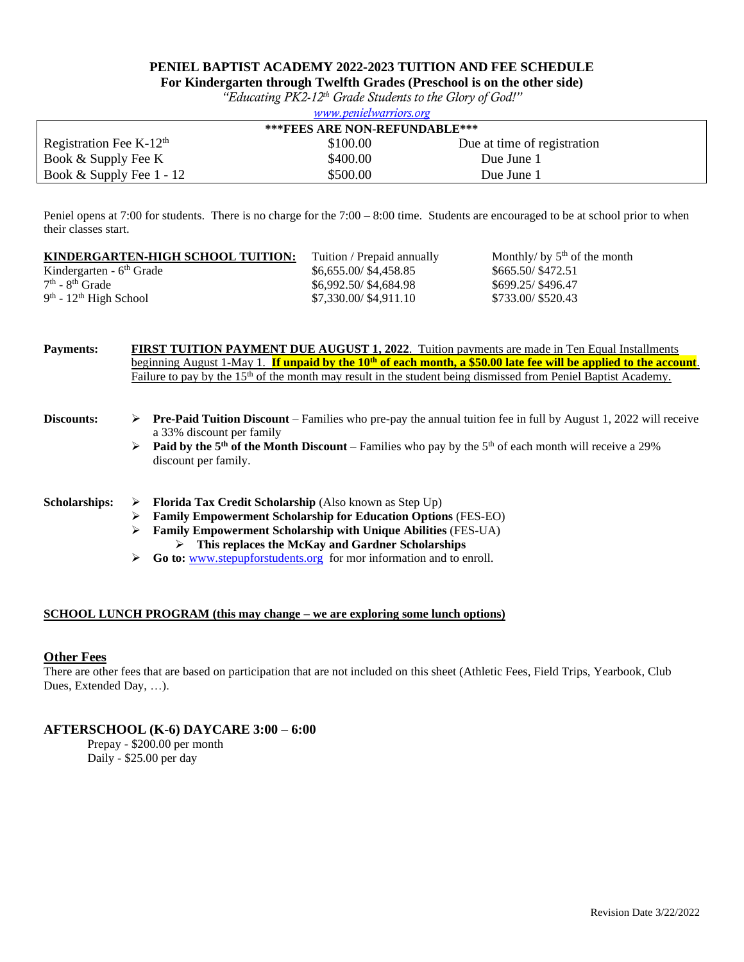# **PENIEL BAPTIST ACADEMY 2022-2023 TUITION AND FEE SCHEDULE**

**For Kindergarten through Twelfth Grades (Preschool is on the other side)**

*"Educating PK2-12th Grade Students to the Glory of God!" [www.penielwarriors.org](http://www.penielacademy.org/)*

| <i>WWW.pchactwurrors.org</i>         |          |                             |  |
|--------------------------------------|----------|-----------------------------|--|
| <b>***FEES ARE NON-REFUNDABLE***</b> |          |                             |  |
| Registration Fee K- $12th$           | \$100.00 | Due at time of registration |  |
| Book & Supply Fee K                  | \$400.00 | Due June 1                  |  |
| Book & Supply Fee $1 - 12$           | \$500.00 | Due June 1                  |  |

Peniel opens at 7:00 for students. There is no charge for the 7:00 – 8:00 time. Students are encouraged to be at school prior to when their classes start.

| KINDERGARTEN-HIGH SCHOOL TUITION: | Tuition / Prepaid annually | Monthly/ by $5th$ of the month |
|-----------------------------------|----------------------------|--------------------------------|
| Kindergarten - $6th$ Grade        | \$6,655.00/\$4,458.85      | \$665.50/\$472.51              |
| $7th$ - $8th$ Grade               | \$6,992,50/\$4,684.98      | \$699.25/\$496.47              |
| $9th$ - $12th$ High School        | \$7,330.00/\$4,911.10      | \$733.00/\$520.43              |
|                                   |                            |                                |

| <b>Payments:</b>     | <b>FIRST TUITION PAYMENT DUE AUGUST 1, 2022.</b> Tuition payments are made in Ten Equal Installments<br>beginning August 1-May 1. If unpaid by the 10 <sup>th</sup> of each month, a \$50.00 late fee will be applied to the account. |                                                                                                                                                            |  |  |  |
|----------------------|---------------------------------------------------------------------------------------------------------------------------------------------------------------------------------------------------------------------------------------|------------------------------------------------------------------------------------------------------------------------------------------------------------|--|--|--|
|                      |                                                                                                                                                                                                                                       | Failure to pay by the 15 <sup>th</sup> of the month may result in the student being dismissed from Peniel Baptist Academy.                                 |  |  |  |
| Discounts:           | ➤                                                                                                                                                                                                                                     | <b>Pre-Paid Tuition Discount</b> – Families who pre-pay the annual tuition fee in full by August 1, 2022 will receive<br>a 33% discount per family         |  |  |  |
|                      | ➤                                                                                                                                                                                                                                     | <b>Paid by the 5<sup>th</sup> of the Month Discount</b> – Families who pay by the 5 <sup>th</sup> of each month will receive a 29%<br>discount per family. |  |  |  |
| <b>Scholarships:</b> | ➤                                                                                                                                                                                                                                     | <b>Florida Tax Credit Scholarship</b> (Also known as Step Up)                                                                                              |  |  |  |
|                      | ⋗                                                                                                                                                                                                                                     | <b>Family Empowerment Scholarship for Education Options (FES-EO)</b>                                                                                       |  |  |  |
|                      | ⋗                                                                                                                                                                                                                                     | <b>Family Empowerment Scholarship with Unique Abilities (FES-UA)</b><br>This replaces the McKay and Gardner Scholarships<br>➤                              |  |  |  |
|                      | ➤                                                                                                                                                                                                                                     | Go to: www.stepupforstudents.org for mor information and to enroll.                                                                                        |  |  |  |

### **SCHOOL LUNCH PROGRAM (this may change – we are exploring some lunch options)**

### **Other Fees**

There are other fees that are based on participation that are not included on this sheet (Athletic Fees, Field Trips, Yearbook, Club Dues, Extended Day, …).

## **AFTERSCHOOL (K-6) DAYCARE 3:00 – 6:00**

Prepay - \$200.00 per month Daily - \$25.00 per day